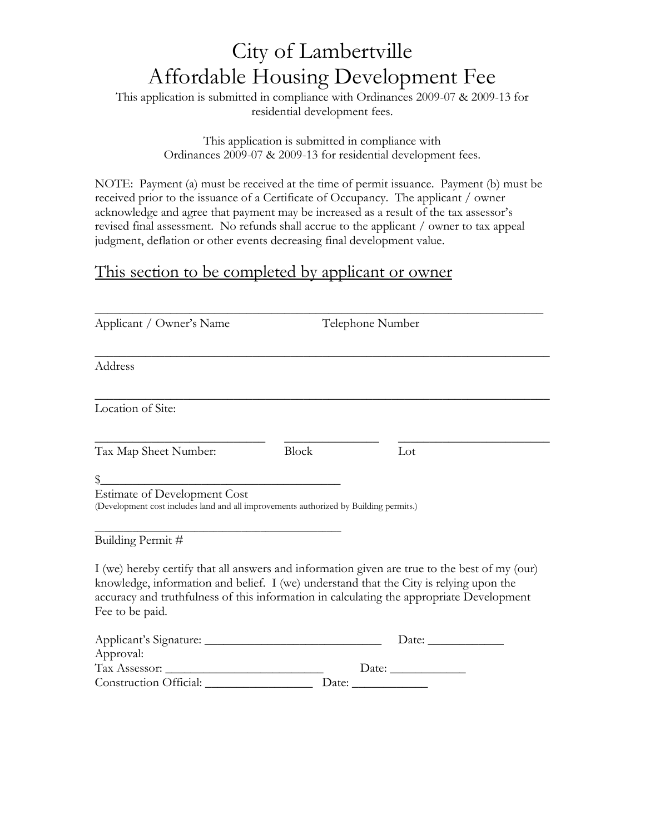## City of Lambertville Affordable Housing Development Fee

This application is submitted in compliance with Ordinances 2009-07 & 2009-13 for residential development fees.

> This application is submitted in compliance with Ordinances 2009-07 & 2009-13 for residential development fees.

NOTE: Payment (a) must be received at the time of permit issuance. Payment (b) must be received prior to the issuance of a Certificate of Occupancy. The applicant / owner acknowledge and agree that payment may be increased as a result of the tax assessor's revised final assessment. No refunds shall accrue to the applicant / owner to tax appeal judgment, deflation or other events decreasing final development value.

## This section to be completed by applicant or owner

| Applicant / Owner's Name                                                                                   | Telephone Number |                                                                                                                                                                                                                                                                                     |  |
|------------------------------------------------------------------------------------------------------------|------------------|-------------------------------------------------------------------------------------------------------------------------------------------------------------------------------------------------------------------------------------------------------------------------------------|--|
| Address                                                                                                    |                  |                                                                                                                                                                                                                                                                                     |  |
| Location of Site:                                                                                          |                  |                                                                                                                                                                                                                                                                                     |  |
| Tax Map Sheet Number:                                                                                      | <b>Block</b>     | Lot                                                                                                                                                                                                                                                                                 |  |
| $\frac{1}{2}$<br>Estimate of Development Cost                                                              |                  |                                                                                                                                                                                                                                                                                     |  |
| (Development cost includes land and all improvements authorized by Building permits.)<br>Building Permit # |                  |                                                                                                                                                                                                                                                                                     |  |
| Fee to be paid.                                                                                            |                  | I (we) hereby certify that all answers and information given are true to the best of my (our)<br>knowledge, information and belief. I (we) understand that the City is relying upon the<br>accuracy and truthfulness of this information in calculating the appropriate Development |  |
| Approval:<br>Construction Official: Date: Date:                                                            |                  | Date: $\_\_$<br>Date: $\_\_$                                                                                                                                                                                                                                                        |  |